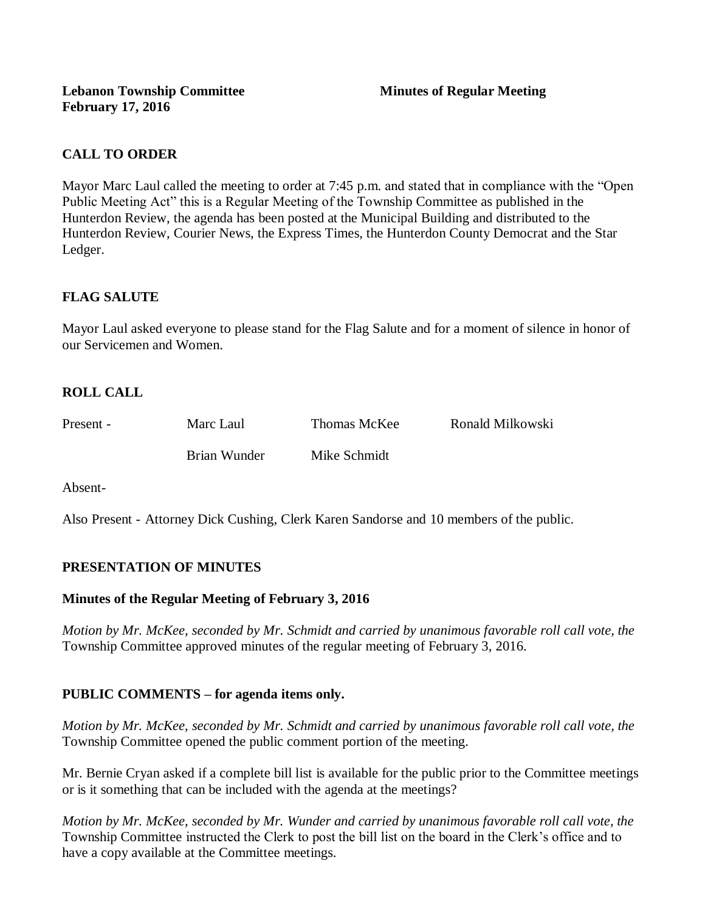# **CALL TO ORDER**

Mayor Marc Laul called the meeting to order at 7:45 p.m. and stated that in compliance with the "Open Public Meeting Act" this is a Regular Meeting of the Township Committee as published in the Hunterdon Review, the agenda has been posted at the Municipal Building and distributed to the Hunterdon Review, Courier News, the Express Times, the Hunterdon County Democrat and the Star Ledger.

# **FLAG SALUTE**

Mayor Laul asked everyone to please stand for the Flag Salute and for a moment of silence in honor of our Servicemen and Women.

# **ROLL CALL**

| Present - | Marc Laul    | Thomas McKee | Ronald Milkowski |
|-----------|--------------|--------------|------------------|
|           | Brian Wunder | Mike Schmidt |                  |

Absent-

Also Present - Attorney Dick Cushing, Clerk Karen Sandorse and 10 members of the public.

# **PRESENTATION OF MINUTES**

### **Minutes of the Regular Meeting of February 3, 2016**

*Motion by Mr. McKee, seconded by Mr. Schmidt and carried by unanimous favorable roll call vote, the*  Township Committee approved minutes of the regular meeting of February 3, 2016.

### **PUBLIC COMMENTS – for agenda items only.**

*Motion by Mr. McKee, seconded by Mr. Schmidt and carried by unanimous favorable roll call vote, the* Township Committee opened the public comment portion of the meeting.

Mr. Bernie Cryan asked if a complete bill list is available for the public prior to the Committee meetings or is it something that can be included with the agenda at the meetings?

*Motion by Mr. McKee, seconded by Mr. Wunder and carried by unanimous favorable roll call vote, the* Township Committee instructed the Clerk to post the bill list on the board in the Clerk's office and to have a copy available at the Committee meetings.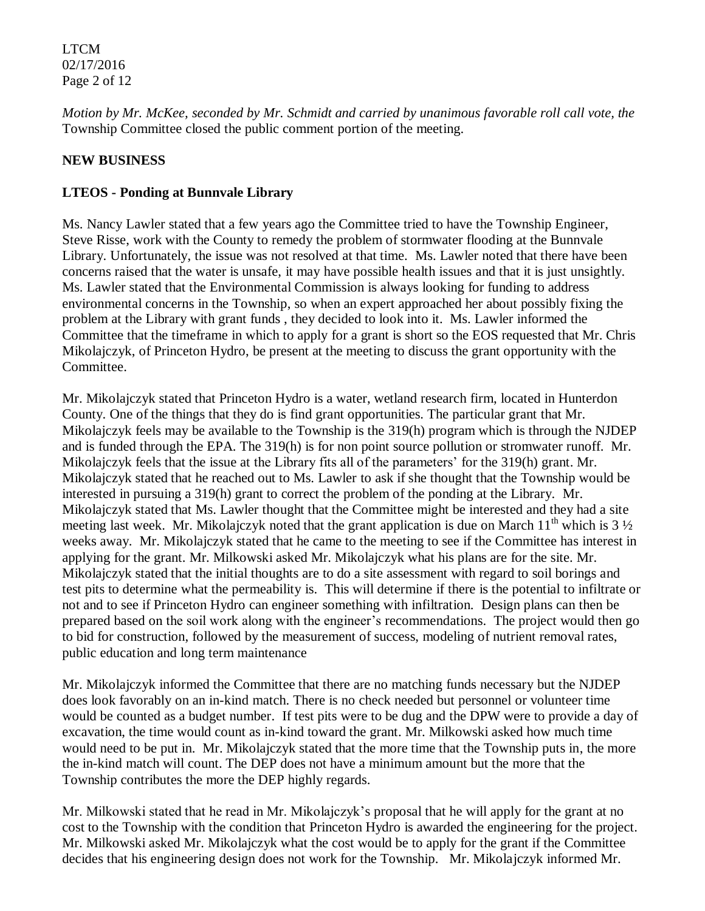LTCM 02/17/2016 Page 2 of 12

*Motion by Mr. McKee, seconded by Mr. Schmidt and carried by unanimous favorable roll call vote, the* Township Committee closed the public comment portion of the meeting.

# **NEW BUSINESS**

## **LTEOS - Ponding at Bunnvale Library**

Ms. Nancy Lawler stated that a few years ago the Committee tried to have the Township Engineer, Steve Risse, work with the County to remedy the problem of stormwater flooding at the Bunnvale Library. Unfortunately, the issue was not resolved at that time. Ms. Lawler noted that there have been concerns raised that the water is unsafe, it may have possible health issues and that it is just unsightly. Ms. Lawler stated that the Environmental Commission is always looking for funding to address environmental concerns in the Township, so when an expert approached her about possibly fixing the problem at the Library with grant funds , they decided to look into it. Ms. Lawler informed the Committee that the timeframe in which to apply for a grant is short so the EOS requested that Mr. Chris Mikolajczyk, of Princeton Hydro, be present at the meeting to discuss the grant opportunity with the Committee.

Mr. Mikolajczyk stated that Princeton Hydro is a water, wetland research firm, located in Hunterdon County. One of the things that they do is find grant opportunities. The particular grant that Mr. Mikolajczyk feels may be available to the Township is the 319(h) program which is through the NJDEP and is funded through the EPA. The 319(h) is for non point source pollution or stromwater runoff. Mr. Mikolajczyk feels that the issue at the Library fits all of the parameters' for the 319(h) grant. Mr. Mikolajczyk stated that he reached out to Ms. Lawler to ask if she thought that the Township would be interested in pursuing a 319(h) grant to correct the problem of the ponding at the Library. Mr. Mikolajczyk stated that Ms. Lawler thought that the Committee might be interested and they had a site meeting last week. Mr. Mikolajczyk noted that the grant application is due on March  $11<sup>th</sup>$  which is 3  $\frac{1}{2}$ weeks away. Mr. Mikolajczyk stated that he came to the meeting to see if the Committee has interest in applying for the grant. Mr. Milkowski asked Mr. Mikolajczyk what his plans are for the site. Mr. Mikolajczyk stated that the initial thoughts are to do a site assessment with regard to soil borings and test pits to determine what the permeability is. This will determine if there is the potential to infiltrate or not and to see if Princeton Hydro can engineer something with infiltration. Design plans can then be prepared based on the soil work along with the engineer's recommendations. The project would then go to bid for construction, followed by the measurement of success, modeling of nutrient removal rates, public education and long term maintenance

Mr. Mikolajczyk informed the Committee that there are no matching funds necessary but the NJDEP does look favorably on an in-kind match. There is no check needed but personnel or volunteer time would be counted as a budget number. If test pits were to be dug and the DPW were to provide a day of excavation, the time would count as in-kind toward the grant. Mr. Milkowski asked how much time would need to be put in. Mr. Mikolajczyk stated that the more time that the Township puts in, the more the in-kind match will count. The DEP does not have a minimum amount but the more that the Township contributes the more the DEP highly regards.

Mr. Milkowski stated that he read in Mr. Mikolajczyk's proposal that he will apply for the grant at no cost to the Township with the condition that Princeton Hydro is awarded the engineering for the project. Mr. Milkowski asked Mr. Mikolajczyk what the cost would be to apply for the grant if the Committee decides that his engineering design does not work for the Township. Mr. Mikolajczyk informed Mr.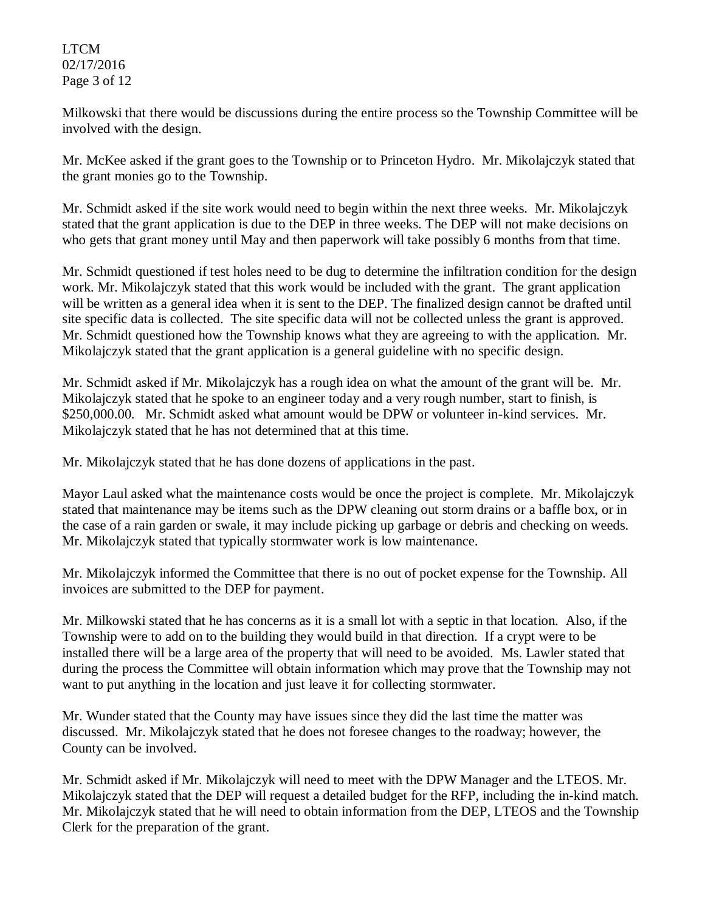### LTCM 02/17/2016 Page 3 of 12

Milkowski that there would be discussions during the entire process so the Township Committee will be involved with the design.

Mr. McKee asked if the grant goes to the Township or to Princeton Hydro. Mr. Mikolajczyk stated that the grant monies go to the Township.

Mr. Schmidt asked if the site work would need to begin within the next three weeks. Mr. Mikolajczyk stated that the grant application is due to the DEP in three weeks. The DEP will not make decisions on who gets that grant money until May and then paperwork will take possibly 6 months from that time.

Mr. Schmidt questioned if test holes need to be dug to determine the infiltration condition for the design work. Mr. Mikolajczyk stated that this work would be included with the grant. The grant application will be written as a general idea when it is sent to the DEP. The finalized design cannot be drafted until site specific data is collected. The site specific data will not be collected unless the grant is approved. Mr. Schmidt questioned how the Township knows what they are agreeing to with the application. Mr. Mikolajczyk stated that the grant application is a general guideline with no specific design.

Mr. Schmidt asked if Mr. Mikolajczyk has a rough idea on what the amount of the grant will be. Mr. Mikolajczyk stated that he spoke to an engineer today and a very rough number, start to finish, is \$250,000.00. Mr. Schmidt asked what amount would be DPW or volunteer in-kind services. Mr. Mikolajczyk stated that he has not determined that at this time.

Mr. Mikolajczyk stated that he has done dozens of applications in the past.

Mayor Laul asked what the maintenance costs would be once the project is complete. Mr. Mikolajczyk stated that maintenance may be items such as the DPW cleaning out storm drains or a baffle box, or in the case of a rain garden or swale, it may include picking up garbage or debris and checking on weeds. Mr. Mikolajczyk stated that typically stormwater work is low maintenance.

Mr. Mikolajczyk informed the Committee that there is no out of pocket expense for the Township. All invoices are submitted to the DEP for payment.

Mr. Milkowski stated that he has concerns as it is a small lot with a septic in that location. Also, if the Township were to add on to the building they would build in that direction. If a crypt were to be installed there will be a large area of the property that will need to be avoided. Ms. Lawler stated that during the process the Committee will obtain information which may prove that the Township may not want to put anything in the location and just leave it for collecting stormwater.

Mr. Wunder stated that the County may have issues since they did the last time the matter was discussed. Mr. Mikolajczyk stated that he does not foresee changes to the roadway; however, the County can be involved.

Mr. Schmidt asked if Mr. Mikolajczyk will need to meet with the DPW Manager and the LTEOS. Mr. Mikolajczyk stated that the DEP will request a detailed budget for the RFP, including the in-kind match. Mr. Mikolajczyk stated that he will need to obtain information from the DEP, LTEOS and the Township Clerk for the preparation of the grant.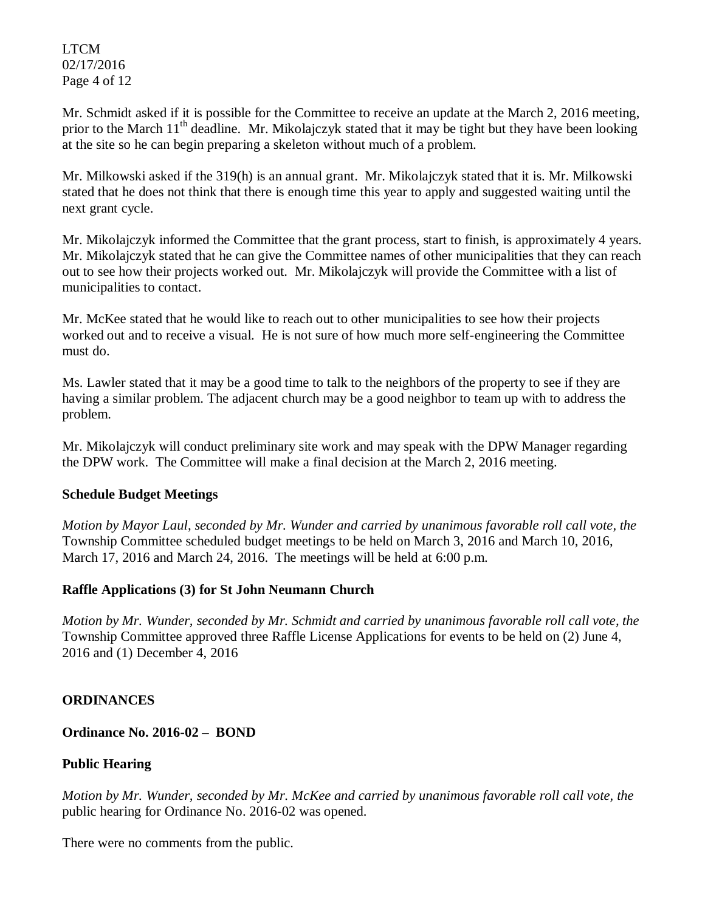LTCM 02/17/2016 Page 4 of 12

Mr. Schmidt asked if it is possible for the Committee to receive an update at the March 2, 2016 meeting, prior to the March  $11<sup>th</sup>$  deadline. Mr. Mikolajczyk stated that it may be tight but they have been looking at the site so he can begin preparing a skeleton without much of a problem.

Mr. Milkowski asked if the 319(h) is an annual grant. Mr. Mikolajczyk stated that it is. Mr. Milkowski stated that he does not think that there is enough time this year to apply and suggested waiting until the next grant cycle.

Mr. Mikolajczyk informed the Committee that the grant process, start to finish, is approximately 4 years. Mr. Mikolajczyk stated that he can give the Committee names of other municipalities that they can reach out to see how their projects worked out. Mr. Mikolajczyk will provide the Committee with a list of municipalities to contact.

Mr. McKee stated that he would like to reach out to other municipalities to see how their projects worked out and to receive a visual. He is not sure of how much more self-engineering the Committee must do.

Ms. Lawler stated that it may be a good time to talk to the neighbors of the property to see if they are having a similar problem. The adjacent church may be a good neighbor to team up with to address the problem.

Mr. Mikolajczyk will conduct preliminary site work and may speak with the DPW Manager regarding the DPW work. The Committee will make a final decision at the March 2, 2016 meeting.

# **Schedule Budget Meetings**

*Motion by Mayor Laul, seconded by Mr. Wunder and carried by unanimous favorable roll call vote, the* Township Committee scheduled budget meetings to be held on March 3, 2016 and March 10, 2016, March 17, 2016 and March 24, 2016. The meetings will be held at 6:00 p.m.

# **Raffle Applications (3) for St John Neumann Church**

*Motion by Mr. Wunder, seconded by Mr. Schmidt and carried by unanimous favorable roll call vote, the* Township Committee approved three Raffle License Applications for events to be held on (2) June 4, 2016 and (1) December 4, 2016

# **ORDINANCES**

**Ordinance No. 2016-02 – BOND**

# **Public Hearing**

*Motion by Mr. Wunder, seconded by Mr. McKee and carried by unanimous favorable roll call vote, the* public hearing for Ordinance No. 2016-02 was opened.

There were no comments from the public*.*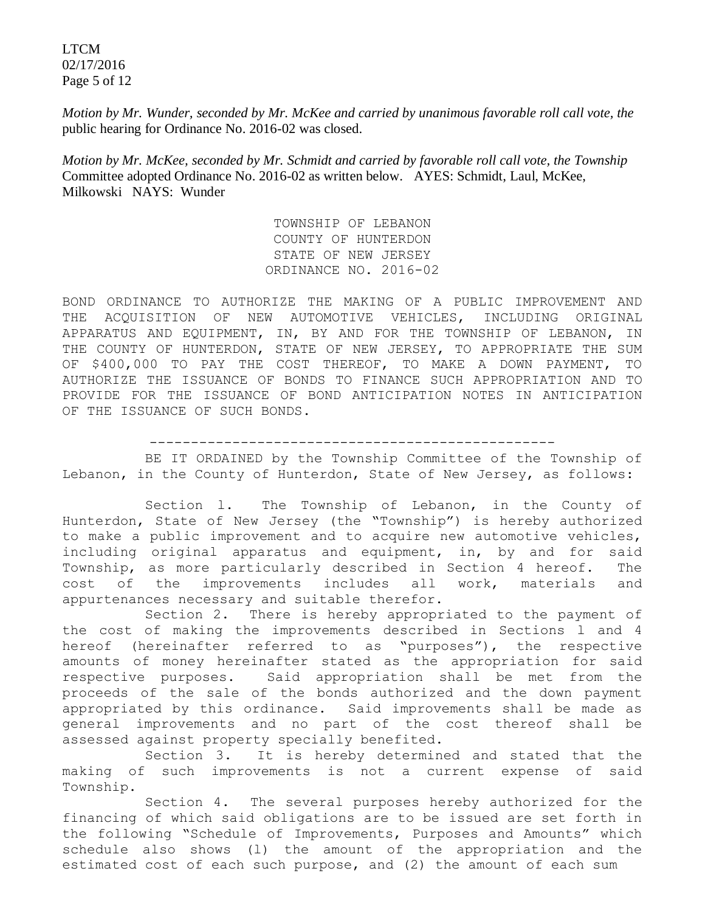LTCM 02/17/2016 Page 5 of 12

*Motion by Mr. Wunder, seconded by Mr. McKee and carried by unanimous favorable roll call vote, the* public hearing for Ordinance No. 2016-02 was closed.

*Motion by Mr. McKee, seconded by Mr. Schmidt and carried by favorable roll call vote, the Township*  Committee adopted Ordinance No. 2016-02 as written below. AYES: Schmidt, Laul, McKee, Milkowski NAYS: Wunder

> TOWNSHIP OF LEBANON COUNTY OF HUNTERDON STATE OF NEW JERSEY ORDINANCE NO. 2016-02

BOND ORDINANCE TO AUTHORIZE THE MAKING OF A PUBLIC IMPROVEMENT AND THE ACQUISITION OF NEW AUTOMOTIVE VEHICLES, INCLUDING ORIGINAL APPARATUS AND EQUIPMENT, IN, BY AND FOR THE TOWNSHIP OF LEBANON, IN THE COUNTY OF HUNTERDON, STATE OF NEW JERSEY, TO APPROPRIATE THE SUM OF \$400,000 TO PAY THE COST THEREOF, TO MAKE A DOWN PAYMENT, TO AUTHORIZE THE ISSUANCE OF BONDS TO FINANCE SUCH APPROPRIATION AND TO PROVIDE FOR THE ISSUANCE OF BOND ANTICIPATION NOTES IN ANTICIPATION OF THE ISSUANCE OF SUCH BONDS.

-------------------------------------------------

BE IT ORDAINED by the Township Committee of the Township of Lebanon, in the County of Hunterdon, State of New Jersey, as follows:

 Section l. The Township of Lebanon, in the County of Hunterdon, State of New Jersey (the "Township") is hereby authorized to make a public improvement and to acquire new automotive vehicles, including original apparatus and equipment, in, by and for said Township, as more particularly described in Section 4 hereof. The cost of the improvements includes all work, materials and appurtenances necessary and suitable therefor.

Section 2. There is hereby appropriated to the payment of the cost of making the improvements described in Sections l and 4 hereof (hereinafter referred to as "purposes"), the respective amounts of money hereinafter stated as the appropriation for said respective purposes. Said appropriation shall be met from the proceeds of the sale of the bonds authorized and the down payment appropriated by this ordinance. Said improvements shall be made as general improvements and no part of the cost thereof shall be assessed against property specially benefited.

Section 3. It is hereby determined and stated that the making of such improvements is not a current expense of said Township.

Section 4. The several purposes hereby authorized for the financing of which said obligations are to be issued are set forth in the following "Schedule of Improvements, Purposes and Amounts" which schedule also shows (l) the amount of the appropriation and the estimated cost of each such purpose, and (2) the amount of each sum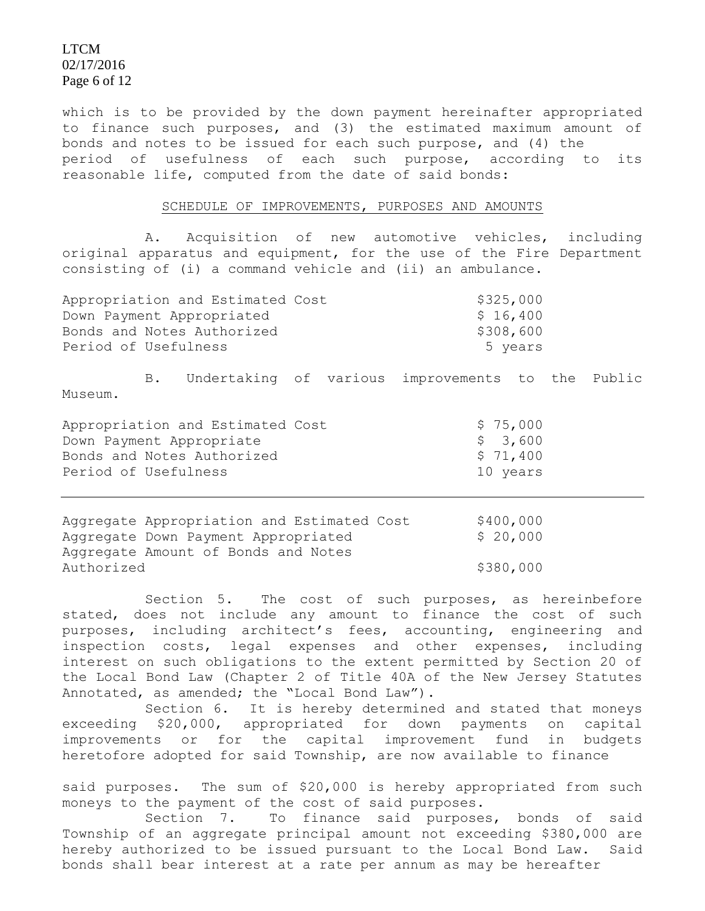### LTCM 02/17/2016 Page 6 of 12

which is to be provided by the down payment hereinafter appropriated to finance such purposes, and (3) the estimated maximum amount of bonds and notes to be issued for each such purpose, and (4) the period of usefulness of each such purpose, according to its reasonable life, computed from the date of said bonds:

#### SCHEDULE OF IMPROVEMENTS, PURPOSES AND AMOUNTS

A. Acquisition of new automotive vehicles, including original apparatus and equipment, for the use of the Fire Department consisting of (i) a command vehicle and (ii) an ambulance.

| Appropriation and Estimated Cost | \$325,000 |
|----------------------------------|-----------|
| Down Payment Appropriated        | \$16,400  |
| Bonds and Notes Authorized       | \$308,600 |
| Period of Usefulness             | 5 years   |

B. Undertaking of various improvements to the Public Museum.

| Appropriation and Estimated Cost | \$75,000 |
|----------------------------------|----------|
| Down Payment Appropriate         | \$ 3,600 |
| Bonds and Notes Authorized       | \$71,400 |
| Period of Usefulness             | 10 years |

Aggregate Appropriation and Estimated Cost \$400,000 Aggregate Down Payment Appropriated  $$20,000$ Aggregate Amount of Bonds and Notes Authorized \$380,000

 Section 5. The cost of such purposes, as hereinbefore stated, does not include any amount to finance the cost of such purposes, including architect's fees, accounting, engineering and inspection costs, legal expenses and other expenses, including interest on such obligations to the extent permitted by Section 20 of the Local Bond Law (Chapter 2 of Title 40A of the New Jersey Statutes Annotated, as amended; the "Local Bond Law").

Section 6. It is hereby determined and stated that moneys exceeding \$20,000, appropriated for down payments on capital improvements or for the capital improvement fund in budgets heretofore adopted for said Township, are now available to finance

said purposes. The sum of \$20,000 is hereby appropriated from such moneys to the payment of the cost of said purposes.

Section 7. To finance said purposes, bonds of said Township of an aggregate principal amount not exceeding \$380,000 are hereby authorized to be issued pursuant to the Local Bond Law. Said bonds shall bear interest at a rate per annum as may be hereafter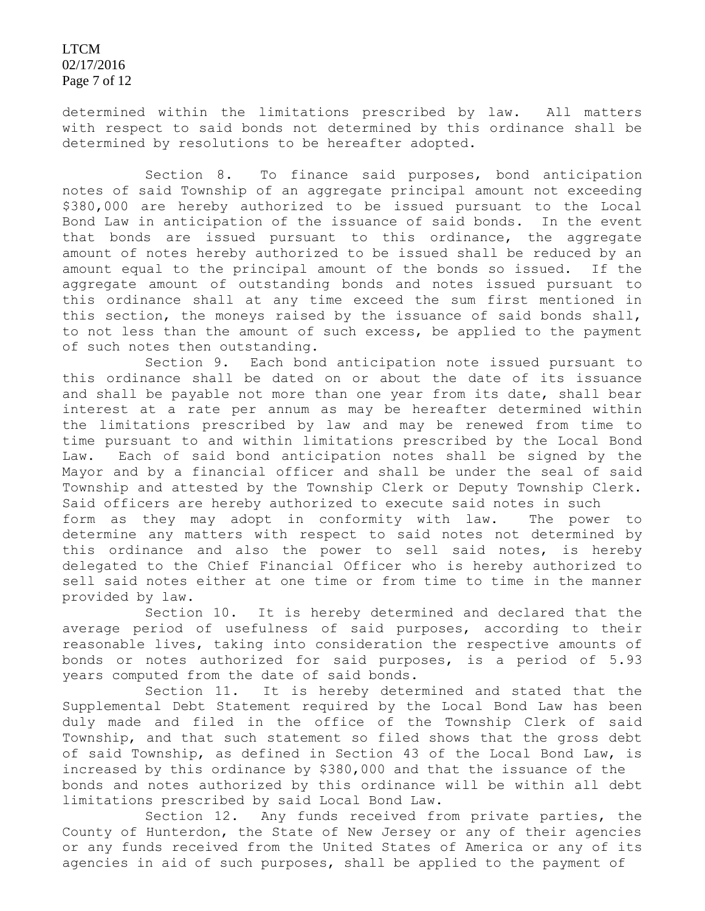LTCM 02/17/2016 Page 7 of 12

determined within the limitations prescribed by law. All matters with respect to said bonds not determined by this ordinance shall be determined by resolutions to be hereafter adopted.

Section 8. To finance said purposes, bond anticipation notes of said Township of an aggregate principal amount not exceeding \$380,000 are hereby authorized to be issued pursuant to the Local Bond Law in anticipation of the issuance of said bonds. In the event that bonds are issued pursuant to this ordinance, the aggregate amount of notes hereby authorized to be issued shall be reduced by an amount equal to the principal amount of the bonds so issued. If the aggregate amount of outstanding bonds and notes issued pursuant to this ordinance shall at any time exceed the sum first mentioned in this section, the moneys raised by the issuance of said bonds shall, to not less than the amount of such excess, be applied to the payment of such notes then outstanding.

Section 9. Each bond anticipation note issued pursuant to this ordinance shall be dated on or about the date of its issuance and shall be payable not more than one year from its date, shall bear interest at a rate per annum as may be hereafter determined within the limitations prescribed by law and may be renewed from time to time pursuant to and within limitations prescribed by the Local Bond Law. Each of said bond anticipation notes shall be signed by the Mayor and by a financial officer and shall be under the seal of said Township and attested by the Township Clerk or Deputy Township Clerk. Said officers are hereby authorized to execute said notes in such form as they may adopt in conformity with law. The power to determine any matters with respect to said notes not determined by this ordinance and also the power to sell said notes, is hereby delegated to the Chief Financial Officer who is hereby authorized to sell said notes either at one time or from time to time in the manner provided by law.

Section 10. It is hereby determined and declared that the average period of usefulness of said purposes, according to their reasonable lives, taking into consideration the respective amounts of bonds or notes authorized for said purposes, is a period of 5.93 years computed from the date of said bonds.

Section 11. It is hereby determined and stated that the Supplemental Debt Statement required by the Local Bond Law has been duly made and filed in the office of the Township Clerk of said Township, and that such statement so filed shows that the gross debt of said Township, as defined in Section 43 of the Local Bond Law, is increased by this ordinance by \$380,000 and that the issuance of the bonds and notes authorized by this ordinance will be within all debt limitations prescribed by said Local Bond Law.

Section 12. Any funds received from private parties, the County of Hunterdon, the State of New Jersey or any of their agencies or any funds received from the United States of America or any of its agencies in aid of such purposes, shall be applied to the payment of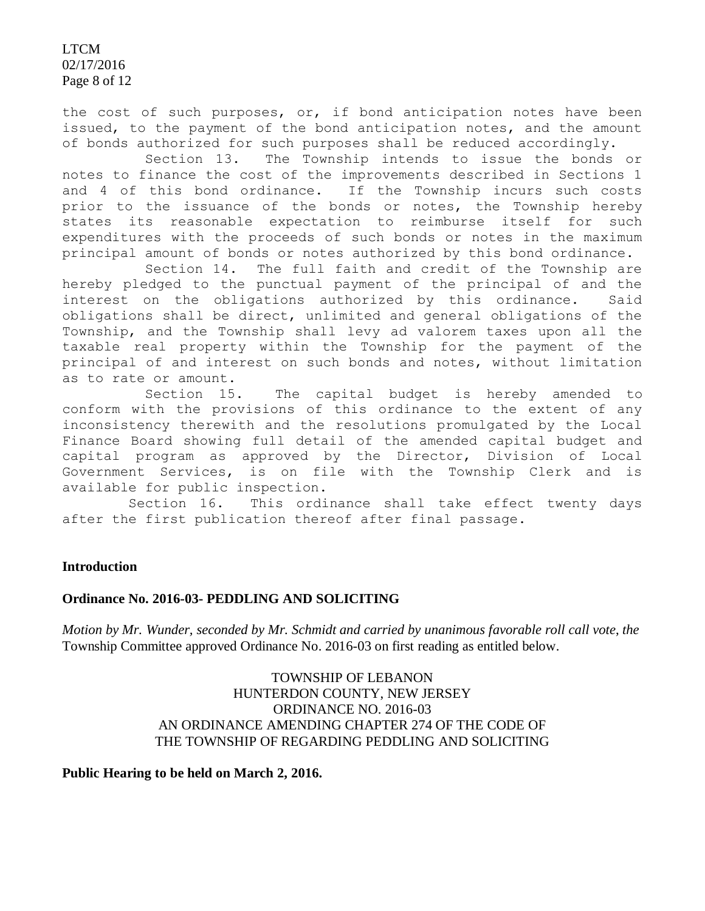LTCM 02/17/2016 Page 8 of 12

the cost of such purposes, or, if bond anticipation notes have been issued, to the payment of the bond anticipation notes, and the amount of bonds authorized for such purposes shall be reduced accordingly.

Section 13. The Township intends to issue the bonds or notes to finance the cost of the improvements described in Sections 1 and 4 of this bond ordinance. If the Township incurs such costs prior to the issuance of the bonds or notes, the Township hereby states its reasonable expectation to reimburse itself for such expenditures with the proceeds of such bonds or notes in the maximum principal amount of bonds or notes authorized by this bond ordinance.

Section 14. The full faith and credit of the Township are hereby pledged to the punctual payment of the principal of and the interest on the obligations authorized by this ordinance. Said obligations shall be direct, unlimited and general obligations of the Township, and the Township shall levy ad valorem taxes upon all the taxable real property within the Township for the payment of the principal of and interest on such bonds and notes, without limitation as to rate or amount.

Section 15. The capital budget is hereby amended to conform with the provisions of this ordinance to the extent of any inconsistency therewith and the resolutions promulgated by the Local Finance Board showing full detail of the amended capital budget and capital program as approved by the Director, Division of Local Government Services, is on file with the Township Clerk and is available for public inspection.

 Section 16. This ordinance shall take effect twenty days after the first publication thereof after final passage.

### **Introduction**

#### **Ordinance No. 2016-03- PEDDLING AND SOLICITING**

*Motion by Mr. Wunder, seconded by Mr. Schmidt and carried by unanimous favorable roll call vote*, *the*  Township Committee approved Ordinance No. 2016-03 on first reading as entitled below.

> TOWNSHIP OF LEBANON HUNTERDON COUNTY, NEW JERSEY ORDINANCE NO. 2016-03 AN ORDINANCE AMENDING CHAPTER 274 OF THE CODE OF THE TOWNSHIP OF REGARDING PEDDLING AND SOLICITING

**Public Hearing to be held on March 2, 2016.**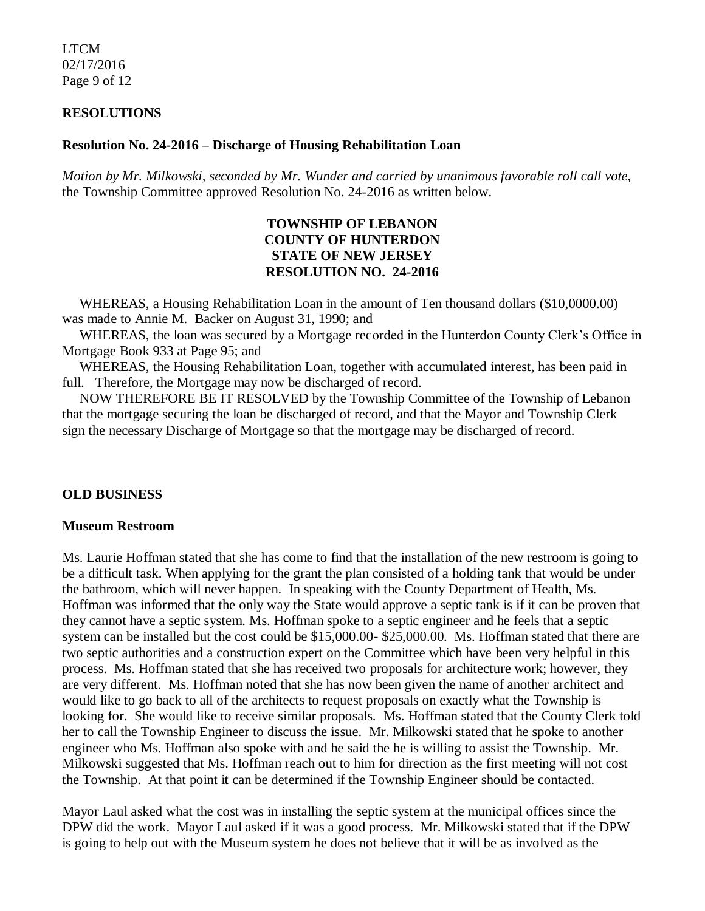LTCM 02/17/2016 Page 9 of 12

### **RESOLUTIONS**

### **Resolution No. 24-2016 – Discharge of Housing Rehabilitation Loan**

*Motion by Mr. Milkowski, seconded by Mr. Wunder and carried by unanimous favorable roll call vote,* the Township Committee approved Resolution No. 24-2016 as written below.

## **TOWNSHIP OF LEBANON COUNTY OF HUNTERDON STATE OF NEW JERSEY RESOLUTION NO. 24-2016**

 WHEREAS, a Housing Rehabilitation Loan in the amount of Ten thousand dollars (\$10,0000.00) was made to Annie M. Backer on August 31, 1990; and

 WHEREAS, the loan was secured by a Mortgage recorded in the Hunterdon County Clerk's Office in Mortgage Book 933 at Page 95; and

 WHEREAS, the Housing Rehabilitation Loan, together with accumulated interest, has been paid in full. Therefore, the Mortgage may now be discharged of record.

 NOW THEREFORE BE IT RESOLVED by the Township Committee of the Township of Lebanon that the mortgage securing the loan be discharged of record, and that the Mayor and Township Clerk sign the necessary Discharge of Mortgage so that the mortgage may be discharged of record.

### **OLD BUSINESS**

#### **Museum Restroom**

Ms. Laurie Hoffman stated that she has come to find that the installation of the new restroom is going to be a difficult task. When applying for the grant the plan consisted of a holding tank that would be under the bathroom, which will never happen. In speaking with the County Department of Health, Ms. Hoffman was informed that the only way the State would approve a septic tank is if it can be proven that they cannot have a septic system. Ms. Hoffman spoke to a septic engineer and he feels that a septic system can be installed but the cost could be \$15,000.00- \$25,000.00. Ms. Hoffman stated that there are two septic authorities and a construction expert on the Committee which have been very helpful in this process. Ms. Hoffman stated that she has received two proposals for architecture work; however, they are very different. Ms. Hoffman noted that she has now been given the name of another architect and would like to go back to all of the architects to request proposals on exactly what the Township is looking for. She would like to receive similar proposals. Ms. Hoffman stated that the County Clerk told her to call the Township Engineer to discuss the issue. Mr. Milkowski stated that he spoke to another engineer who Ms. Hoffman also spoke with and he said the he is willing to assist the Township. Mr. Milkowski suggested that Ms. Hoffman reach out to him for direction as the first meeting will not cost the Township. At that point it can be determined if the Township Engineer should be contacted.

Mayor Laul asked what the cost was in installing the septic system at the municipal offices since the DPW did the work. Mayor Laul asked if it was a good process. Mr. Milkowski stated that if the DPW is going to help out with the Museum system he does not believe that it will be as involved as the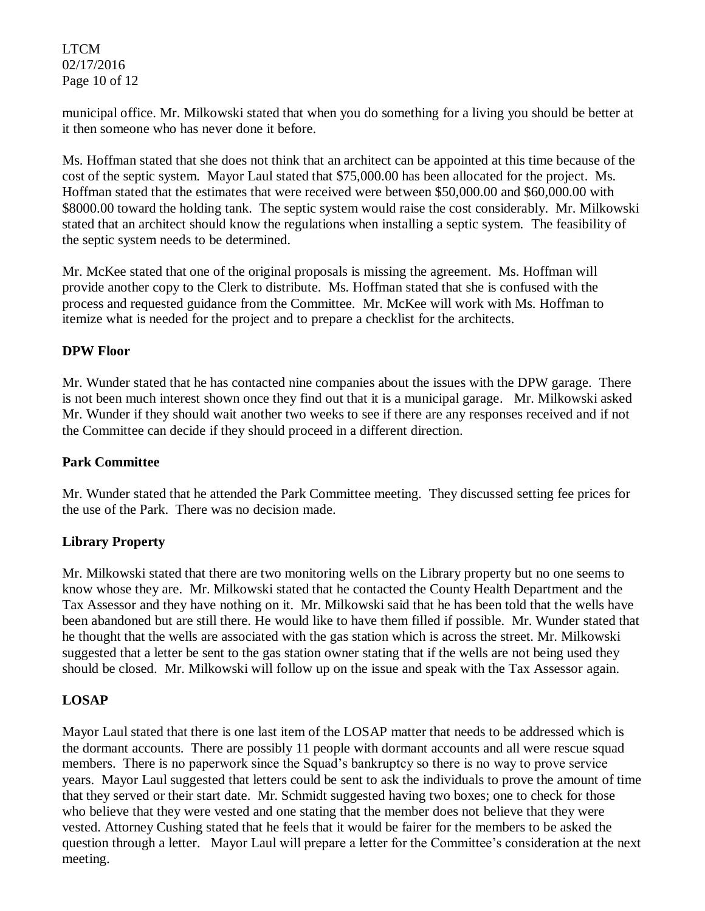LTCM 02/17/2016 Page 10 of 12

municipal office. Mr. Milkowski stated that when you do something for a living you should be better at it then someone who has never done it before.

Ms. Hoffman stated that she does not think that an architect can be appointed at this time because of the cost of the septic system. Mayor Laul stated that \$75,000.00 has been allocated for the project. Ms. Hoffman stated that the estimates that were received were between \$50,000.00 and \$60,000.00 with \$8000.00 toward the holding tank. The septic system would raise the cost considerably. Mr. Milkowski stated that an architect should know the regulations when installing a septic system. The feasibility of the septic system needs to be determined.

Mr. McKee stated that one of the original proposals is missing the agreement. Ms. Hoffman will provide another copy to the Clerk to distribute. Ms. Hoffman stated that she is confused with the process and requested guidance from the Committee. Mr. McKee will work with Ms. Hoffman to itemize what is needed for the project and to prepare a checklist for the architects.

### **DPW Floor**

Mr. Wunder stated that he has contacted nine companies about the issues with the DPW garage. There is not been much interest shown once they find out that it is a municipal garage. Mr. Milkowski asked Mr. Wunder if they should wait another two weeks to see if there are any responses received and if not the Committee can decide if they should proceed in a different direction.

### **Park Committee**

Mr. Wunder stated that he attended the Park Committee meeting. They discussed setting fee prices for the use of the Park. There was no decision made.

# **Library Property**

Mr. Milkowski stated that there are two monitoring wells on the Library property but no one seems to know whose they are. Mr. Milkowski stated that he contacted the County Health Department and the Tax Assessor and they have nothing on it. Mr. Milkowski said that he has been told that the wells have been abandoned but are still there. He would like to have them filled if possible. Mr. Wunder stated that he thought that the wells are associated with the gas station which is across the street. Mr. Milkowski suggested that a letter be sent to the gas station owner stating that if the wells are not being used they should be closed. Mr. Milkowski will follow up on the issue and speak with the Tax Assessor again.

# **LOSAP**

Mayor Laul stated that there is one last item of the LOSAP matter that needs to be addressed which is the dormant accounts. There are possibly 11 people with dormant accounts and all were rescue squad members. There is no paperwork since the Squad's bankruptcy so there is no way to prove service years. Mayor Laul suggested that letters could be sent to ask the individuals to prove the amount of time that they served or their start date. Mr. Schmidt suggested having two boxes; one to check for those who believe that they were vested and one stating that the member does not believe that they were vested. Attorney Cushing stated that he feels that it would be fairer for the members to be asked the question through a letter. Mayor Laul will prepare a letter for the Committee's consideration at the next meeting.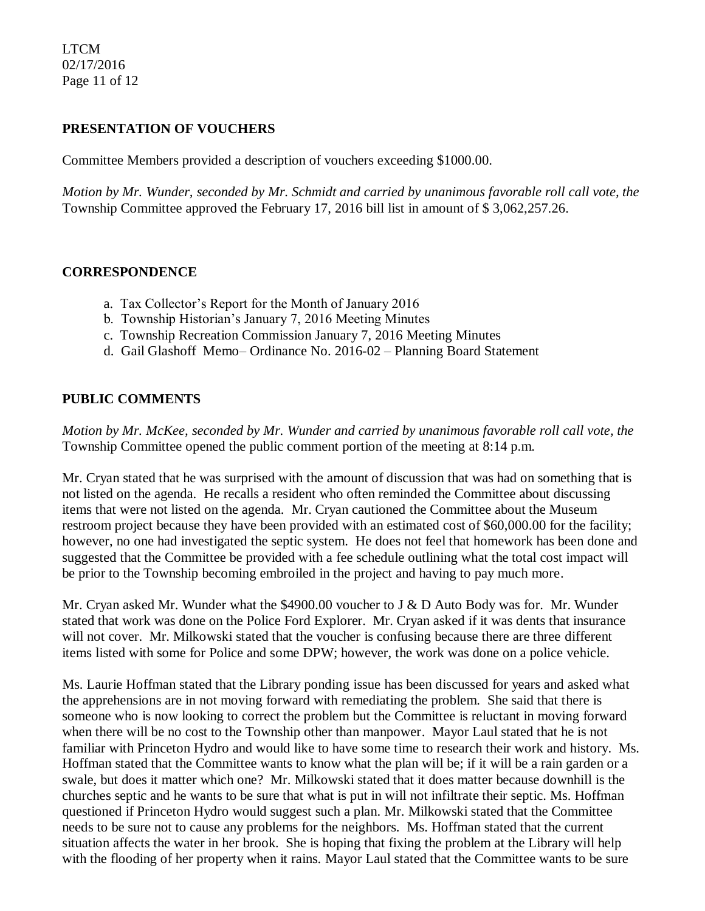LTCM 02/17/2016 Page 11 of 12

## **PRESENTATION OF VOUCHERS**

Committee Members provided a description of vouchers exceeding \$1000.00.

*Motion by Mr. Wunder, seconded by Mr. Schmidt and carried by unanimous favorable roll call vote, the* Township Committee approved the February 17, 2016 bill list in amount of \$ 3,062,257.26.

### **CORRESPONDENCE**

- a. Tax Collector's Report for the Month of January 2016
- b. Township Historian's January 7, 2016 Meeting Minutes
- c. Township Recreation Commission January 7, 2016 Meeting Minutes
- d. Gail Glashoff Memo– Ordinance No. 2016-02 Planning Board Statement

## **PUBLIC COMMENTS**

*Motion by Mr. McKee, seconded by Mr. Wunder and carried by unanimous favorable roll call vote, the* Township Committee opened the public comment portion of the meeting at 8:14 p.m.

Mr. Cryan stated that he was surprised with the amount of discussion that was had on something that is not listed on the agenda. He recalls a resident who often reminded the Committee about discussing items that were not listed on the agenda. Mr. Cryan cautioned the Committee about the Museum restroom project because they have been provided with an estimated cost of \$60,000.00 for the facility; however, no one had investigated the septic system. He does not feel that homework has been done and suggested that the Committee be provided with a fee schedule outlining what the total cost impact will be prior to the Township becoming embroiled in the project and having to pay much more.

Mr. Cryan asked Mr. Wunder what the \$4900.00 voucher to J & D Auto Body was for. Mr. Wunder stated that work was done on the Police Ford Explorer. Mr. Cryan asked if it was dents that insurance will not cover. Mr. Milkowski stated that the voucher is confusing because there are three different items listed with some for Police and some DPW; however, the work was done on a police vehicle.

Ms. Laurie Hoffman stated that the Library ponding issue has been discussed for years and asked what the apprehensions are in not moving forward with remediating the problem. She said that there is someone who is now looking to correct the problem but the Committee is reluctant in moving forward when there will be no cost to the Township other than manpower. Mayor Laul stated that he is not familiar with Princeton Hydro and would like to have some time to research their work and history. Ms. Hoffman stated that the Committee wants to know what the plan will be; if it will be a rain garden or a swale, but does it matter which one? Mr. Milkowski stated that it does matter because downhill is the churches septic and he wants to be sure that what is put in will not infiltrate their septic. Ms. Hoffman questioned if Princeton Hydro would suggest such a plan. Mr. Milkowski stated that the Committee needs to be sure not to cause any problems for the neighbors. Ms. Hoffman stated that the current situation affects the water in her brook. She is hoping that fixing the problem at the Library will help with the flooding of her property when it rains. Mayor Laul stated that the Committee wants to be sure